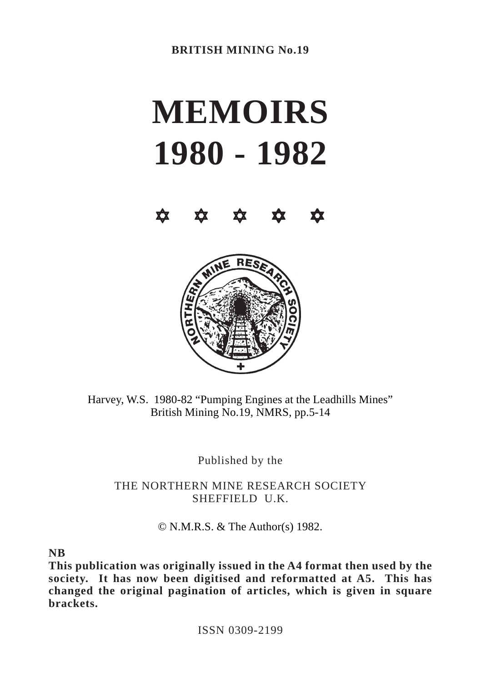# **MEMOIRS 1980 - 1982**





Harvey, W.S. 1980-82 "Pumping Engines at the Leadhills Mines" British Mining No.19, NMRS, pp.5-14

Published by the

THE NORTHERN MINE RESEARCH SOCIETY SHEFFIELD U.K.

© N.M.R.S. & The Author(s) 1982.

**NB**

**This publication was originally issued in the A4 format then used by the society. It has now been digitised and reformatted at A5. This has changed the original pagination of articles, which is given in square brackets.**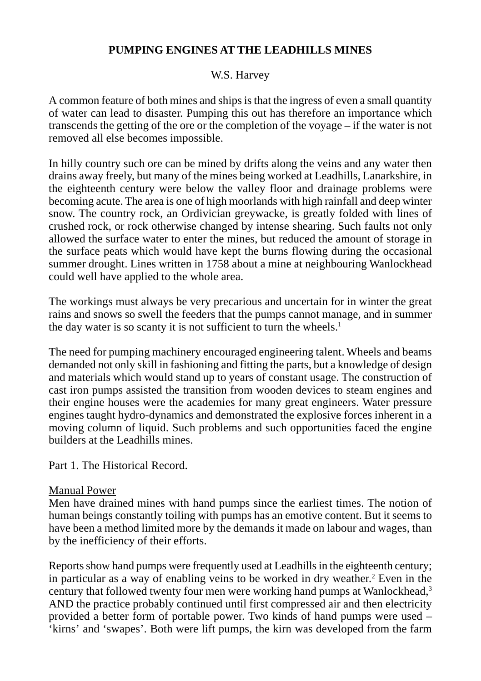# W.S. Harvey

A common feature of both mines and ships is that the ingress of even a small quantity of water can lead to disaster. Pumping this out has therefore an importance which transcends the getting of the ore or the completion of the voyage – if the water is not removed all else becomes impossible.

In hilly country such ore can be mined by drifts along the veins and any water then drains away freely, but many of the mines being worked at Leadhills, Lanarkshire, in the eighteenth century were below the valley floor and drainage problems were becoming acute. The area is one of high moorlands with high rainfall and deep winter snow. The country rock, an Ordivician greywacke, is greatly folded with lines of crushed rock, or rock otherwise changed by intense shearing. Such faults not only allowed the surface water to enter the mines, but reduced the amount of storage in the surface peats which would have kept the burns flowing during the occasional summer drought. Lines written in 1758 about a mine at neighbouring Wanlockhead could well have applied to the whole area.

The workings must always be very precarious and uncertain for in winter the great rains and snows so swell the feeders that the pumps cannot manage, and in summer the day water is so scanty it is not sufficient to turn the wheels.<sup>1</sup>

The need for pumping machinery encouraged engineering talent. Wheels and beams demanded not only skill in fashioning and fitting the parts, but a knowledge of design and materials which would stand up to years of constant usage. The construction of cast iron pumps assisted the transition from wooden devices to steam engines and their engine houses were the academies for many great engineers. Water pressure engines taught hydro-dynamics and demonstrated the explosive forces inherent in a moving column of liquid. Such problems and such opportunities faced the engine builders at the Leadhills mines.

Part 1. The Historical Record.

#### Manual Power

Men have drained mines with hand pumps since the earliest times. The notion of human beings constantly toiling with pumps has an emotive content. But it seems to have been a method limited more by the demands it made on labour and wages, than by the inefficiency of their efforts.

Reports show hand pumps were frequently used at Leadhills in the eighteenth century; in particular as a way of enabling veins to be worked in dry weather.<sup>2</sup> Even in the century that followed twenty four men were working hand pumps at Wanlockhead,<sup>3</sup> AND the practice probably continued until first compressed air and then electricity provided a better form of portable power. Two kinds of hand pumps were used – 'kirns' and 'swapes'. Both were lift pumps, the kirn was developed from the farm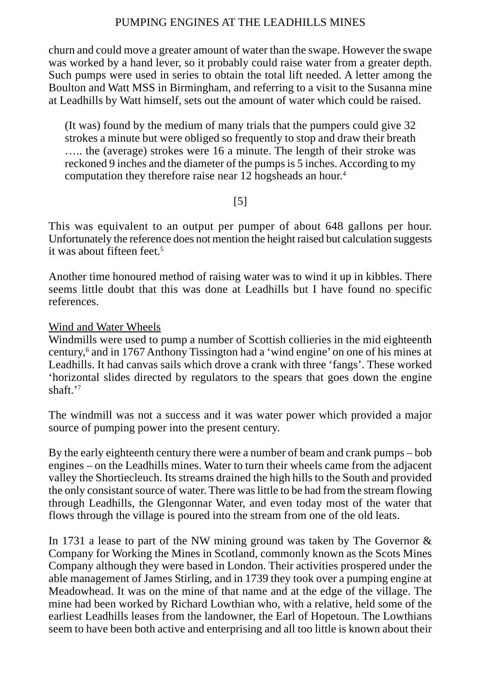churn and could move a greater amount of water than the swape. However the swape was worked by a hand lever, so it probably could raise water from a greater depth. Such pumps were used in series to obtain the total lift needed. A letter among the Boulton and Watt MSS in Birmingham, and referring to a visit to the Susanna mine at Leadhills by Watt himself, sets out the amount of water which could be raised.

(It was) found by the medium of many trials that the pumpers could give 32 strokes a minute but were obliged so frequently to stop and draw their breath ….. the (average) strokes were 16 a minute. The length of their stroke was reckoned 9 inches and the diameter of the pumps is 5 inches. According to my computation they therefore raise near 12 hogsheads an hour.4

## [5]

This was equivalent to an output per pumper of about 648 gallons per hour. Unfortunately the reference does not mention the height raised but calculation suggests it was about fifteen feet.5

Another time honoured method of raising water was to wind it up in kibbles. There seems little doubt that this was done at Leadhills but I have found no specific references.

#### Wind and Water Wheels

Windmills were used to pump a number of Scottish collieries in the mid eighteenth century,6 and in 1767 Anthony Tissington had a 'wind engine' on one of his mines at Leadhills. It had canvas sails which drove a crank with three 'fangs'. These worked 'horizontal slides directed by regulators to the spears that goes down the engine shaft.'7

The windmill was not a success and it was water power which provided a major source of pumping power into the present century.

By the early eighteenth century there were a number of beam and crank pumps – bob engines – on the Leadhills mines. Water to turn their wheels came from the adjacent valley the Shortiecleuch. Its streams drained the high hills to the South and provided the only consistant source of water. There was little to be had from the stream flowing through Leadhills, the Glengonnar Water, and even today most of the water that flows through the village is poured into the stream from one of the old leats.

In 1731 a lease to part of the NW mining ground was taken by The Governor  $\&$ Company for Working the Mines in Scotland, commonly known as the Scots Mines Company although they were based in London. Their activities prospered under the able management of James Stirling, and in 1739 they took over a pumping engine at Meadowhead. It was on the mine of that name and at the edge of the village. The mine had been worked by Richard Lowthian who, with a relative, held some of the earliest Leadhills leases from the landowner, the Earl of Hopetoun. The Lowthians seem to have been both active and enterprising and all too little is known about their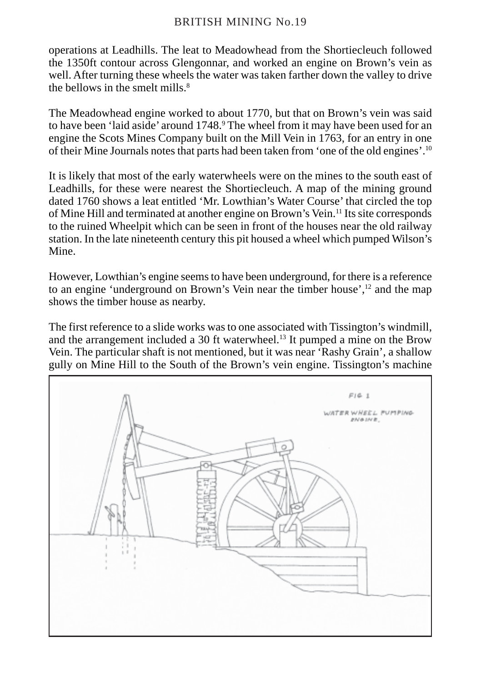operations at Leadhills. The leat to Meadowhead from the Shortiecleuch followed the 1350ft contour across Glengonnar, and worked an engine on Brown's vein as well. After turning these wheels the water was taken farther down the valley to drive the bellows in the smelt mills. $8$ 

The Meadowhead engine worked to about 1770, but that on Brown's vein was said to have been 'laid aside' around 1748.<sup>9</sup> The wheel from it may have been used for an engine the Scots Mines Company built on the Mill Vein in 1763, for an entry in one of their Mine Journals notes that parts had been taken from 'one of the old engines'.10

It is likely that most of the early waterwheels were on the mines to the south east of Leadhills, for these were nearest the Shortiecleuch. A map of the mining ground dated 1760 shows a leat entitled 'Mr. Lowthian's Water Course' that circled the top of Mine Hill and terminated at another engine on Brown's Vein.11 Its site corresponds to the ruined Wheelpit which can be seen in front of the houses near the old railway station. In the late nineteenth century this pit housed a wheel which pumped Wilson's Mine.

However, Lowthian's engine seems to have been underground, for there is a reference to an engine 'underground on Brown's Vein near the timber house',<sup>12</sup> and the map shows the timber house as nearby.

The first reference to a slide works was to one associated with Tissington's windmill, and the arrangement included a 30 ft waterwheel.<sup>13</sup> It pumped a mine on the Brow Vein. The particular shaft is not mentioned, but it was near 'Rashy Grain', a shallow gully on Mine Hill to the South of the Brown's vein engine. Tissington's machine

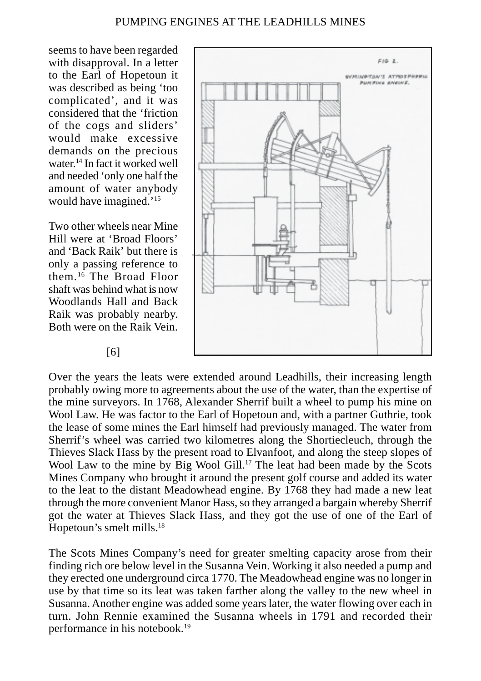seems to have been regarded with disapproval. In a letter to the Earl of Hopetoun it was described as being 'too complicated', and it was considered that the 'friction of the cogs and sliders' would make excessive demands on the precious water.14 In fact it worked well and needed 'only one half the amount of water anybody would have imagined.'15

Two other wheels near Mine Hill were at 'Broad Floors' and 'Back Raik' but there is only a passing reference to them.16 The Broad Floor shaft was behind what is now Woodlands Hall and Back Raik was probably nearby. Both were on the Raik Vein.



Over the years the leats were extended around Leadhills, their increasing length probably owing more to agreements about the use of the water, than the expertise of the mine surveyors. In 1768, Alexander Sherrif built a wheel to pump his mine on Wool Law. He was factor to the Earl of Hopetoun and, with a partner Guthrie, took the lease of some mines the Earl himself had previously managed. The water from Sherrif's wheel was carried two kilometres along the Shortiecleuch, through the Thieves Slack Hass by the present road to Elvanfoot, and along the steep slopes of Wool Law to the mine by Big Wool Gill.<sup>17</sup> The leat had been made by the Scots Mines Company who brought it around the present golf course and added its water to the leat to the distant Meadowhead engine. By 1768 they had made a new leat through the more convenient Manor Hass, so they arranged a bargain whereby Sherrif got the water at Thieves Slack Hass, and they got the use of one of the Earl of Hopetoun's smelt mills.18

The Scots Mines Company's need for greater smelting capacity arose from their finding rich ore below level in the Susanna Vein. Working it also needed a pump and they erected one underground circa 1770. The Meadowhead engine was no longer in use by that time so its leat was taken farther along the valley to the new wheel in Susanna. Another engine was added some years later, the water flowing over each in turn. John Rennie examined the Susanna wheels in 1791 and recorded their performance in his notebook.19

#### [6]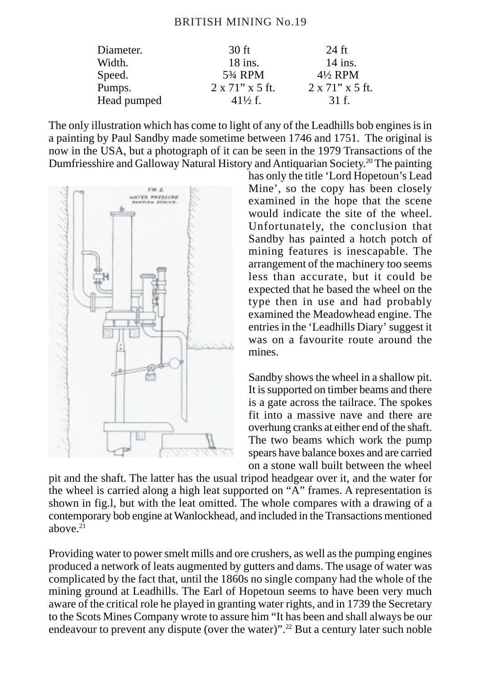| Diameter.   | $30$ ft                           | 24 ft                   |  |
|-------------|-----------------------------------|-------------------------|--|
| Width.      | $18$ ins.                         | $14$ ins.               |  |
| Speed.      | 5 <sup>3</sup> / <sub>4</sub> RPM | $4\frac{1}{2}$ RPM      |  |
| Pumps.      | $2 \times 71$ " x 5 ft.           | $2 \times 71$ " x 5 ft. |  |
| Head pumped | $41\frac{1}{2}$ f.                | 31 f.                   |  |

The only illustration which has come to light of any of the Leadhills bob engines is in a painting by Paul Sandby made sometime between 1746 and 1751. The original is now in the USA, but a photograph of it can be seen in the 1979 Transactions of the Dumfriesshire and Galloway Natural History and Antiquarian Society.20 The painting



has only the title 'Lord Hopetoun's Lead Mine', so the copy has been closely examined in the hope that the scene would indicate the site of the wheel. Unfortunately, the conclusion that Sandby has painted a hotch potch of mining features is inescapable. The arrangement of the machinery too seems less than accurate, but it could be expected that he based the wheel on the type then in use and had probably examined the Meadowhead engine. The entries in the 'Leadhills Diary' suggest it was on a favourite route around the mines.

Sandby shows the wheel in a shallow pit. It is supported on timber beams and there is a gate across the tailrace. The spokes fit into a massive nave and there are overhung cranks at either end of the shaft. The two beams which work the pump spears have balance boxes and are carried on a stone wall built between the wheel

pit and the shaft. The latter has the usual tripod headgear over it, and the water for the wheel is carried along a high leat supported on "A" frames. A representation is shown in fig.l, but with the leat omitted. The whole compares with a drawing of a contemporary bob engine at Wanlockhead, and included in the Transactions mentioned above. $21$ 

Providing water to power smelt mills and ore crushers, as well as the pumping engines produced a network of leats augmented by gutters and dams. The usage of water was complicated by the fact that, until the 1860s no single company had the whole of the mining ground at Leadhills. The Earl of Hopetoun seems to have been very much aware of the critical role he played in granting water rights, and in 1739 the Secretary to the Scots Mines Company wrote to assure him "It has been and shall always be our endeavour to prevent any dispute (over the water)".<sup>22</sup> But a century later such noble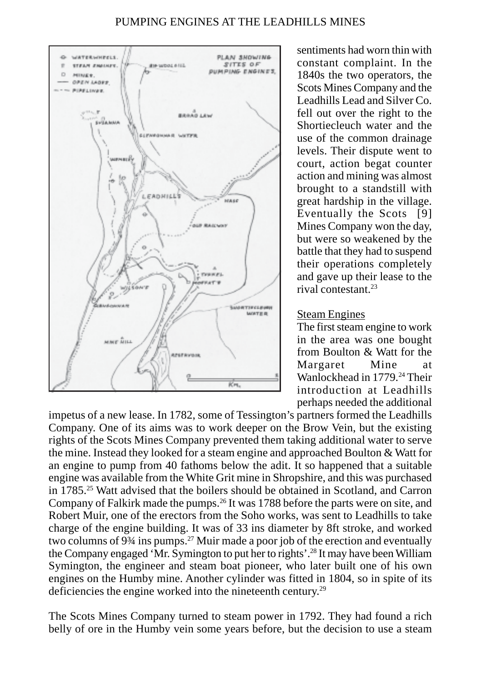

sentiments had worn thin with constant complaint. In the 1840s the two operators, the Scots Mines Company and the Leadhills Lead and Silver Co. fell out over the right to the Shortiecleuch water and the use of the common drainage levels. Their dispute went to court, action begat counter action and mining was almost brought to a standstill with great hardship in the village. Eventually the Scots [9] Mines Company won the day, but were so weakened by the battle that they had to suspend their operations completely and gave up their lease to the rival contestant<sup>23</sup>

#### Steam Engines

The first steam engine to work in the area was one bought from Boulton & Watt for the Margaret Mine at Wanlockhead in 1779<sup>24</sup> Their introduction at Leadhills perhaps needed the additional

impetus of a new lease. In 1782, some of Tessington's partners formed the Leadhills Company. One of its aims was to work deeper on the Brow Vein, but the existing rights of the Scots Mines Company prevented them taking additional water to serve the mine. Instead they looked for a steam engine and approached Boulton & Watt for an engine to pump from 40 fathoms below the adit. It so happened that a suitable engine was available from the White Grit mine in Shropshire, and this was purchased in 1785.25 Watt advised that the boilers should be obtained in Scotland, and Carron Company of Falkirk made the pumps.<sup>26</sup> It was 1788 before the parts were on site, and Robert Muir, one of the erectors from the Soho works, was sent to Leadhills to take charge of the engine building. It was of 33 ins diameter by 8ft stroke, and worked two columns of 9¾ ins pumps.27 Muir made a poor job of the erection and eventually the Company engaged 'Mr. Symington to put her to rights'.28 It may have been William Symington, the engineer and steam boat pioneer, who later built one of his own engines on the Humby mine. Another cylinder was fitted in 1804, so in spite of its deficiencies the engine worked into the nineteenth century.<sup>29</sup>

The Scots Mines Company turned to steam power in 1792. They had found a rich belly of ore in the Humby vein some years before, but the decision to use a steam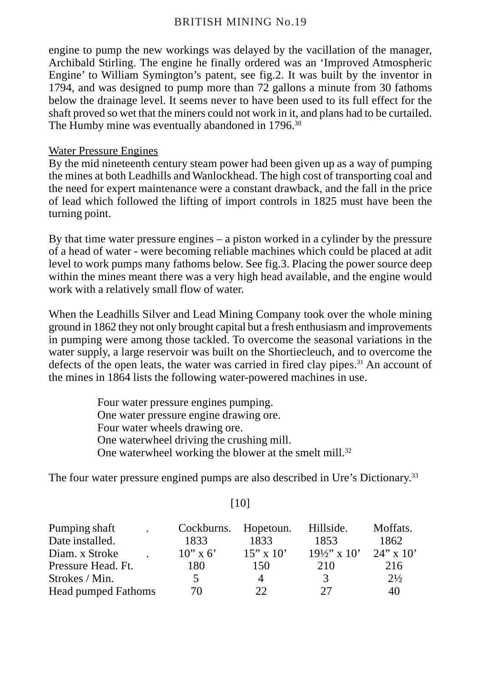engine to pump the new workings was delayed by the vacillation of the manager, Archibald Stirling. The engine he finally ordered was an 'Improved Atmospheric Engine' to William Symington's patent, see fig.2. It was built by the inventor in 1794, and was designed to pump more than 72 gallons a minute from 30 fathoms below the drainage level. It seems never to have been used to its full effect for the shaft proved so wet that the miners could not work in it, and plans had to be curtailed. The Humby mine was eventually abandoned in 1796.<sup>30</sup>

## Water Pressure Engines

By the mid nineteenth century steam power had been given up as a way of pumping the mines at both Leadhills and Wanlockhead. The high cost of transporting coal and the need for expert maintenance were a constant drawback, and the fall in the price of lead which followed the lifting of import controls in 1825 must have been the turning point.

By that time water pressure engines – a piston worked in a cylinder by the pressure of a head of water - were becoming reliable machines which could be placed at adit level to work pumps many fathoms below. See fig.3. Placing the power source deep within the mines meant there was a very high head available, and the engine would work with a relatively small flow of water.

When the Leadhills Silver and Lead Mining Company took over the whole mining ground in 1862 they not only brought capital but a fresh enthusiasm and improvements in pumping were among those tackled. To overcome the seasonal variations in the water supply, a large reservoir was built on the Shortiecleuch, and to overcome the defects of the open leats, the water was carried in fired clay pipes.<sup>31</sup> An account of the mines in 1864 lists the following water-powered machines in use.

> Four water pressure engines pumping. One water pressure engine drawing ore. Four water wheels drawing ore. One waterwheel driving the crushing mill. One waterwheel working the blower at the smelt mill.<sup>32</sup>

The four water pressure engined pumps are also described in Ure's Dictionary.33

| Pumping shaft                                          | Cockburns.                    | Hopetoun.                    | Hillside.                         | Moffats.                              |                     |    |    |    |    |
|--------------------------------------------------------|-------------------------------|------------------------------|-----------------------------------|---------------------------------------|---------------------|----|----|----|----|
| Date installed.                                        | 1833                          | 1833                         | 1853                              | 1862                                  |                     |    |    |    |    |
| Diam. x Stroke<br>Pressure Head. Ft.<br>Strokes / Min. | $10'' \times 6'$<br>180<br>5. | $15" \times 10'$<br>150<br>Δ | $19\frac{1}{2}$ x 10'<br>210<br>3 | $24$ " x 10'<br>216<br>$2\frac{1}{2}$ |                     |    |    |    |    |
|                                                        |                               |                              |                                   |                                       | Head pumped Fathoms | 70 | つつ | 27 | 40 |

# [10]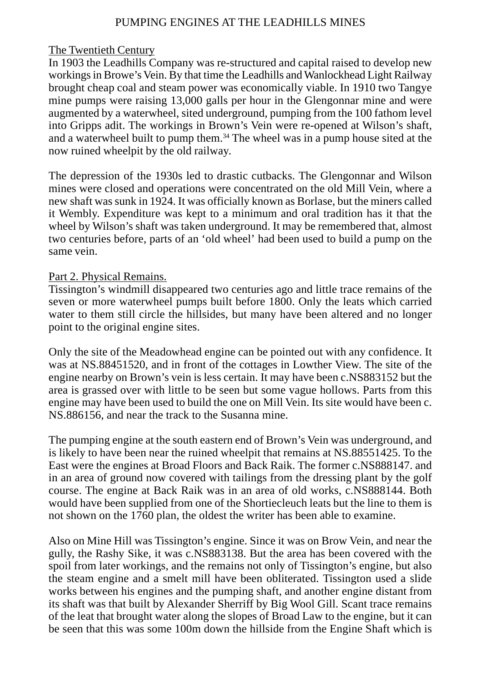#### The Twentieth Century

In 1903 the Leadhills Company was re-structured and capital raised to develop new workings in Browe's Vein. By that time the Leadhills and Wanlockhead Light Railway brought cheap coal and steam power was economically viable. In 1910 two Tangye mine pumps were raising 13,000 galls per hour in the Glengonnar mine and were augmented by a waterwheel, sited underground, pumping from the 100 fathom level into Gripps adit. The workings in Brown's Vein were re-opened at Wilson's shaft, and a waterwheel built to pump them.34 The wheel was in a pump house sited at the now ruined wheelpit by the old railway.

The depression of the 1930s led to drastic cutbacks. The Glengonnar and Wilson mines were closed and operations were concentrated on the old Mill Vein, where a new shaft was sunk in 1924. It was officially known as Borlase, but the miners called it Wembly. Expenditure was kept to a minimum and oral tradition has it that the wheel by Wilson's shaft was taken underground. It may be remembered that, almost two centuries before, parts of an 'old wheel' had been used to build a pump on the same vein.

#### Part 2. Physical Remains.

Tissington's windmill disappeared two centuries ago and little trace remains of the seven or more waterwheel pumps built before 1800. Only the leats which carried water to them still circle the hillsides, but many have been altered and no longer point to the original engine sites.

Only the site of the Meadowhead engine can be pointed out with any confidence. It was at NS.88451520, and in front of the cottages in Lowther View. The site of the engine nearby on Brown's vein is less certain. It may have been c.NS883152 but the area is grassed over with little to be seen but some vague hollows. Parts from this engine may have been used to build the one on Mill Vein. Its site would have been c. NS.886156, and near the track to the Susanna mine.

The pumping engine at the south eastern end of Brown's Vein was underground, and is likely to have been near the ruined wheelpit that remains at NS.88551425. To the East were the engines at Broad Floors and Back Raik. The former c.NS888147. and in an area of ground now covered with tailings from the dressing plant by the golf course. The engine at Back Raik was in an area of old works, c.NS888144. Both would have been supplied from one of the Shortiecleuch leats but the line to them is not shown on the 1760 plan, the oldest the writer has been able to examine.

Also on Mine Hill was Tissington's engine. Since it was on Brow Vein, and near the gully, the Rashy Sike, it was c.NS883138. But the area has been covered with the spoil from later workings, and the remains not only of Tissington's engine, but also the steam engine and a smelt mill have been obliterated. Tissington used a slide works between his engines and the pumping shaft, and another engine distant from its shaft was that built by Alexander Sherriff by Big Wool Gill. Scant trace remains of the leat that brought water along the slopes of Broad Law to the engine, but it can be seen that this was some 100m down the hillside from the Engine Shaft which is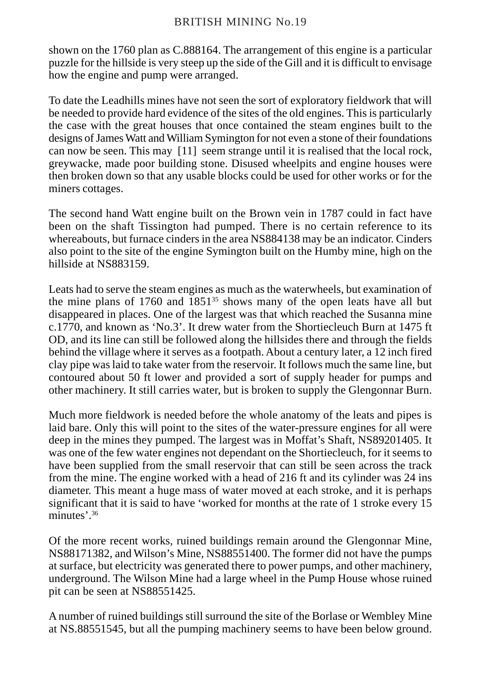shown on the 1760 plan as C.888164. The arrangement of this engine is a particular puzzle for the hillside is very steep up the side of the Gill and it is difficult to envisage how the engine and pump were arranged.

To date the Leadhills mines have not seen the sort of exploratory fieldwork that will be needed to provide hard evidence of the sites of the old engines. This is particularly the case with the great houses that once contained the steam engines built to the designs of James Watt and William Symington for not even a stone of their foundations can now be seen. This may [11] seem strange until it is realised that the local rock, greywacke, made poor building stone. Disused wheelpits and engine houses were then broken down so that any usable blocks could be used for other works or for the miners cottages.

The second hand Watt engine built on the Brown vein in 1787 could in fact have been on the shaft Tissington had pumped. There is no certain reference to its whereabouts, but furnace cinders in the area NS884138 may be an indicator. Cinders also point to the site of the engine Symington built on the Humby mine, high on the hillside at NS883159.

Leats had to serve the steam engines as much as the waterwheels, but examination of the mine plans of 1760 and  $1851^{35}$  shows many of the open leats have all but disappeared in places. One of the largest was that which reached the Susanna mine c.1770, and known as 'No.3'. It drew water from the Shortiecleuch Burn at 1475 ft OD, and its line can still be followed along the hillsides there and through the fields behind the village where it serves as a footpath. About a century later, a 12 inch fired clay pipe was laid to take water from the reservoir. It follows much the same line, but contoured about 50 ft lower and provided a sort of supply header for pumps and other machinery. It still carries water, but is broken to supply the Glengonnar Burn.

Much more fieldwork is needed before the whole anatomy of the leats and pipes is laid bare. Only this will point to the sites of the water-pressure engines for all were deep in the mines they pumped. The largest was in Moffat's Shaft, NS89201405. It was one of the few water engines not dependant on the Shortiecleuch, for it seems to have been supplied from the small reservoir that can still be seen across the track from the mine. The engine worked with a head of 216 ft and its cylinder was 24 ins diameter. This meant a huge mass of water moved at each stroke, and it is perhaps significant that it is said to have 'worked for months at the rate of 1 stroke every 15 minutes'.36

Of the more recent works, ruined buildings remain around the Glengonnar Mine, NS88171382, and Wilson's Mine, NS88551400. The former did not have the pumps at surface, but electricity was generated there to power pumps, and other machinery, underground. The Wilson Mine had a large wheel in the Pump House whose ruined pit can be seen at NS88551425.

A number of ruined buildings still surround the site of the Borlase or Wembley Mine at NS.88551545, but all the pumping machinery seems to have been below ground.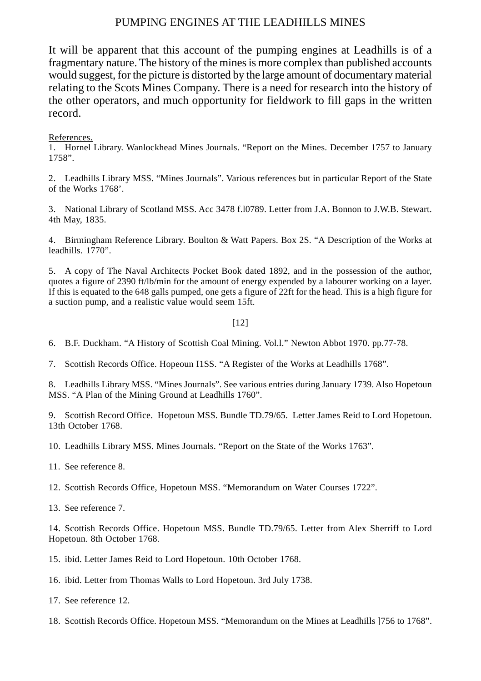It will be apparent that this account of the pumping engines at Leadhills is of a fragmentary nature. The history of the mines is more complex than published accounts would suggest, for the picture is distorted by the large amount of documentary material relating to the Scots Mines Company. There is a need for research into the history of the other operators, and much opportunity for fieldwork to fill gaps in the written record.

#### References.

1. Hornel Library. Wanlockhead Mines Journals. "Report on the Mines. December 1757 to January 1758".

2. Leadhills Library MSS. "Mines Journals". Various references but in particular Report of the State of the Works 1768'.

3. National Library of Scotland MSS. Acc 3478 f.l0789. Letter from J.A. Bonnon to J.W.B. Stewart. 4th May, 1835.

4. Birmingham Reference Library. Boulton & Watt Papers. Box 2S. "A Description of the Works at leadhills. 1770".

5. A copy of The Naval Architects Pocket Book dated 1892, and in the possession of the author, quotes a figure of 2390 ft/lb/min for the amount of energy expended by a labourer working on a layer. If this is equated to the 648 galls pumped, one gets a figure of 22ft for the head. This is a high figure for a suction pump, and a realistic value would seem 15ft.

#### [12]

6. B.F. Duckham. "A History of Scottish Coal Mining. Vol.l." Newton Abbot 1970. pp.77-78.

7. Scottish Records Office. Hopeoun I1SS. "A Register of the Works at Leadhills 1768".

8. Leadhills Library MSS. "Mines Journals". See various entries during January 1739. Also Hopetoun MSS. "A Plan of the Mining Ground at Leadhills 1760".

9. Scottish Record Office. Hopetoun MSS. Bundle TD.79/65. Letter James Reid to Lord Hopetoun. 13th October 1768.

10. Leadhills Library MSS. Mines Journals. "Report on the State of the Works 1763".

- 11. See reference 8.
- 12. Scottish Records Office, Hopetoun MSS. "Memorandum on Water Courses 1722".
- 13. See reference 7.

14. Scottish Records Office. Hopetoun MSS. Bundle TD.79/65. Letter from Alex Sherriff to Lord Hopetoun. 8th October 1768.

15. ibid. Letter James Reid to Lord Hopetoun. 10th October 1768.

16. ibid. Letter from Thomas Walls to Lord Hopetoun. 3rd July 1738.

17. See reference 12.

18. Scottish Records Office. Hopetoun MSS. "Memorandum on the Mines at Leadhills ]756 to 1768".